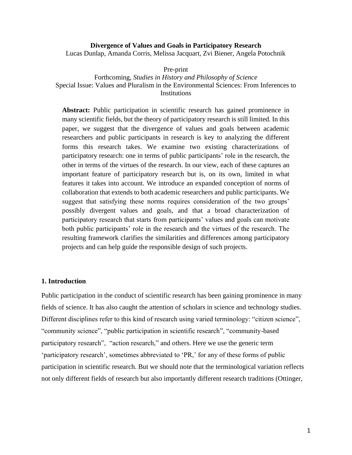#### **Divergence of Values and Goals in Participatory Research**

Lucas Dunlap, Amanda Corris, Melissa Jacquart, Zvi Biener, Angela Potochnik

Pre-print

Forthcoming, *Studies in History and Philosophy of Science* Special Issue: Values and Pluralism in the Environmental Sciences: From Inferences to **Institutions** 

**Abstract:** Public participation in scientific research has gained prominence in many scientific fields, but the theory of participatory research is still limited. In this paper, we suggest that the divergence of values and goals between academic researchers and public participants in research is key to analyzing the different forms this research takes. We examine two existing characterizations of participatory research: one in terms of public participants' role in the research, the other in terms of the virtues of the research. In our view, each of these captures an important feature of participatory research but is, on its own, limited in what features it takes into account. We introduce an expanded conception of norms of collaboration that extends to both academic researchers and public participants. We suggest that satisfying these norms requires consideration of the two groups' possibly divergent values and goals, and that a broad characterization of participatory research that starts from participants' values and goals can motivate both public participants' role in the research and the virtues of the research. The resulting framework clarifies the similarities and differences among participatory projects and can help guide the responsible design of such projects.

# **1. Introduction**

Public participation in the conduct of scientific research has been gaining prominence in many fields of science. It has also caught the attention of scholars in science and technology studies. Different disciplines refer to this kind of research using varied terminology: "citizen science", "community science", "public participation in scientific research", "community-based participatory research", "action research," and others. Here we use the generic term 'participatory research', sometimes abbreviated to 'PR,' for any of these forms of public participation in scientific research. But we should note that the terminological variation reflects not only different fields of research but also importantly different research traditions (Ottinger,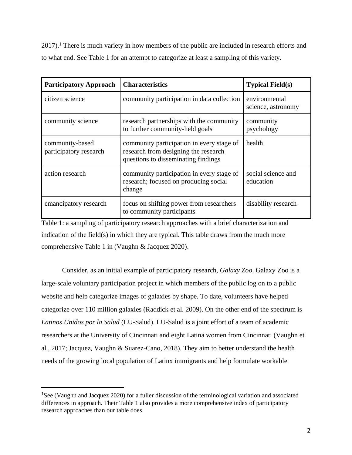$2017$ .<sup>1</sup> There is much variety in how members of the public are included in research efforts and to what end. See Table 1 for an attempt to categorize at least a sampling of this variety.

| <b>Participatory Approach</b>             | <b>Characteristics</b>                                                                                                   | <b>Typical Field(s)</b>             |
|-------------------------------------------|--------------------------------------------------------------------------------------------------------------------------|-------------------------------------|
| citizen science                           | community participation in data collection                                                                               | environmental<br>science, astronomy |
| community science                         | research partnerships with the community<br>to further community-held goals                                              | community<br>psychology             |
| community-based<br>participatory research | community participation in every stage of<br>research from designing the research<br>questions to disseminating findings | health                              |
| action research                           | community participation in every stage of<br>research; focused on producing social<br>change                             | social science and<br>education     |
| emancipatory research                     | focus on shifting power from researchers<br>to community participants                                                    | disability research                 |

Table 1: a sampling of participatory research approaches with a brief characterization and indication of the field(s) in which they are typical. This table draws from the much more comprehensive Table 1 in (Vaughn & Jacquez 2020).

Consider, as an initial example of participatory research, *Galaxy Zoo*. Galaxy Zoo is a large-scale voluntary participation project in which members of the public log on to a public website and help categorize images of galaxies by shape. To date, volunteers have helped categorize over 110 million galaxies (Raddick et al. 2009). On the other end of the spectrum is *Latinos Unidos por la Salud* (LU-Salud). LU-Salud is a joint effort of a team of academic researchers at the University of Cincinnati and eight Latina women from Cincinnati (Vaughn et al., 2017; Jacquez, Vaughn & Suarez-Cano, 2018). They aim to better understand the health needs of the growing local population of Latinx immigrants and help formulate workable

<sup>&</sup>lt;sup>1</sup>See (Vaughn and Jacquez 2020) for a fuller discussion of the terminological variation and associated differences in approach. Their Table 1 also provides a more comprehensive index of participatory research approaches than our table does.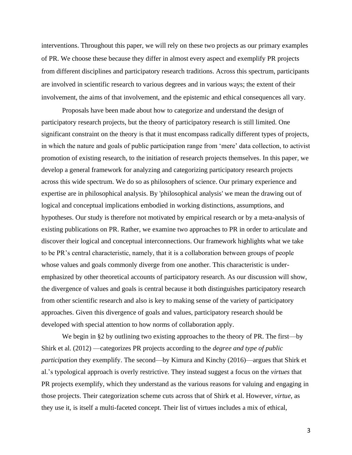interventions. Throughout this paper, we will rely on these two projects as our primary examples of PR. We choose these because they differ in almost every aspect and exemplify PR projects from different disciplines and participatory research traditions. Across this spectrum, participants are involved in scientific research to various degrees and in various ways; the extent of their involvement, the aims of that involvement, and the epistemic and ethical consequences all vary.

Proposals have been made about how to categorize and understand the design of participatory research projects, but the theory of participatory research is still limited. One significant constraint on the theory is that it must encompass radically different types of projects, in which the nature and goals of public participation range from 'mere' data collection, to activist promotion of existing research, to the initiation of research projects themselves. In this paper, we develop a general framework for analyzing and categorizing participatory research projects across this wide spectrum. We do so as philosophers of science. Our primary experience and expertise are in philosophical analysis. By 'philosophical analysis' we mean the drawing out of logical and conceptual implications embodied in working distinctions, assumptions, and hypotheses. Our study is therefore not motivated by empirical research or by a meta-analysis of existing publications on PR. Rather, we examine two approaches to PR in order to articulate and discover their logical and conceptual interconnections. Our framework highlights what we take to be PR's central characteristic, namely, that it is a collaboration between groups of people whose values and goals commonly diverge from one another. This characteristic is underemphasized by other theoretical accounts of participatory research. As our discussion will show, the divergence of values and goals is central because it both distinguishes participatory research from other scientific research and also is key to making sense of the variety of participatory approaches. Given this divergence of goals and values, participatory research should be developed with special attention to how norms of collaboration apply.

We begin in §2 by outlining two existing approaches to the theory of PR. The first—by Shirk et al. (2012) —categorizes PR projects according to the *degree and type of public participation* they exemplify. The second—by Kimura and Kinchy (2016)—argues that Shirk et al.'s typological approach is overly restrictive. They instead suggest a focus on the *virtues* that PR projects exemplify, which they understand as the various reasons for valuing and engaging in those projects. Their categorization scheme cuts across that of Shirk et al. However, *virtue*, as they use it, is itself a multi-faceted concept. Their list of virtues includes a mix of ethical,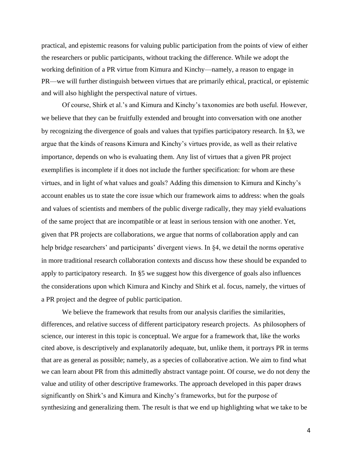practical, and epistemic reasons for valuing public participation from the points of view of either the researchers or public participants, without tracking the difference. While we adopt the working definition of a PR virtue from Kimura and Kinchy—namely, a reason to engage in PR—we will further distinguish between virtues that are primarily ethical, practical, or epistemic and will also highlight the perspectival nature of virtues.

Of course, Shirk et al.'s and Kimura and Kinchy's taxonomies are both useful. However, we believe that they can be fruitfully extended and brought into conversation with one another by recognizing the divergence of goals and values that typifies participatory research. In §3, we argue that the kinds of reasons Kimura and Kinchy's virtues provide, as well as their relative importance, depends on who is evaluating them. Any list of virtues that a given PR project exemplifies is incomplete if it does not include the further specification: for whom are these virtues, and in light of what values and goals? Adding this dimension to Kimura and Kinchy's account enables us to state the core issue which our framework aims to address: when the goals and values of scientists and members of the public diverge radically, they may yield evaluations of the same project that are incompatible or at least in serious tension with one another. Yet, given that PR projects are collaborations, we argue that norms of collaboration apply and can help bridge researchers' and participants' divergent views. In §4, we detail the norms operative in more traditional research collaboration contexts and discuss how these should be expanded to apply to participatory research. In §5 we suggest how this divergence of goals also influences the considerations upon which Kimura and Kinchy and Shirk et al. focus, namely, the virtues of a PR project and the degree of public participation.

We believe the framework that results from our analysis clarifies the similarities, differences, and relative success of different participatory research projects. As philosophers of science, our interest in this topic is conceptual. We argue for a framework that, like the works cited above, is descriptively and explanatorily adequate, but, unlike them, it portrays PR in terms that are as general as possible; namely, as a species of collaborative action. We aim to find what we can learn about PR from this admittedly abstract vantage point. Of course, we do not deny the value and utility of other descriptive frameworks. The approach developed in this paper draws significantly on Shirk's and Kimura and Kinchy's frameworks, but for the purpose of synthesizing and generalizing them. The result is that we end up highlighting what we take to be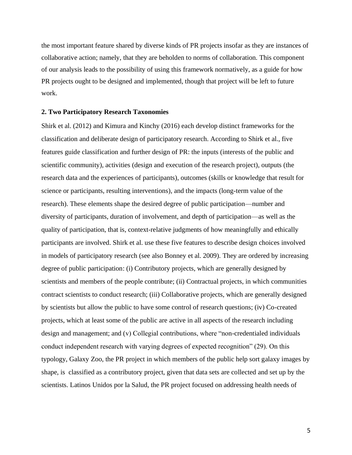the most important feature shared by diverse kinds of PR projects insofar as they are instances of collaborative action; namely, that they are beholden to norms of collaboration. This component of our analysis leads to the possibility of using this framework normatively, as a guide for how PR projects ought to be designed and implemented, though that project will be left to future work.

### **2. Two Participatory Research Taxonomies**

Shirk et al. (2012) and Kimura and Kinchy (2016) each develop distinct frameworks for the classification and deliberate design of participatory research. According to Shirk et al., five features guide classification and further design of PR: the inputs (interests of the public and scientific community), activities (design and execution of the research project), outputs (the research data and the experiences of participants), outcomes (skills or knowledge that result for science or participants, resulting interventions), and the impacts (long-term value of the research). These elements shape the desired degree of public participation—number and diversity of participants, duration of involvement, and depth of participation—as well as the quality of participation, that is, context-relative judgments of how meaningfully and ethically participants are involved. Shirk et al. use these five features to describe design choices involved in models of participatory research (see also Bonney et al. 2009). They are ordered by increasing degree of public participation: (i) Contributory projects, which are generally designed by scientists and members of the people contribute; (ii) Contractual projects, in which communities contract scientists to conduct research; (iii) Collaborative projects, which are generally designed by scientists but allow the public to have some control of research questions; (iv) Co-created projects, which at least some of the public are active in all aspects of the research including design and management; and (v) Collegial contributions, where "non-credentialed individuals conduct independent research with varying degrees of expected recognition" (29). On this typology, Galaxy Zoo, the PR project in which members of the public help sort galaxy images by shape, is classified as a contributory project, given that data sets are collected and set up by the scientists. Latinos Unidos por la Salud, the PR project focused on addressing health needs of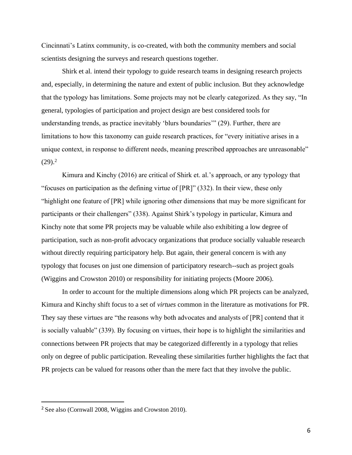Cincinnati's Latinx community, is co-created, with both the community members and social scientists designing the surveys and research questions together.

Shirk et al. intend their typology to guide research teams in designing research projects and, especially, in determining the nature and extent of public inclusion. But they acknowledge that the typology has limitations. Some projects may not be clearly categorized. As they say, "In general, typologies of participation and project design are best considered tools for understanding trends, as practice inevitably 'blurs boundaries'" (29). Further, there are limitations to how this taxonomy can guide research practices, for "every initiative arises in a unique context, in response to different needs, meaning prescribed approaches are unreasonable"  $(29).<sup>2</sup>$ 

Kimura and Kinchy (2016) are critical of Shirk et. al.'s approach, or any typology that "focuses on participation as the defining virtue of [PR]" (332). In their view, these only "highlight one feature of [PR] while ignoring other dimensions that may be more significant for participants or their challengers" (338). Against Shirk's typology in particular, Kimura and Kinchy note that some PR projects may be valuable while also exhibiting a low degree of participation, such as non-profit advocacy organizations that produce socially valuable research without directly requiring participatory help. But again, their general concern is with any typology that focuses on just one dimension of participatory research--such as project goals (Wiggins and Crowston 2010) or responsibility for initiating projects (Moore 2006).

In order to account for the multiple dimensions along which PR projects can be analyzed, Kimura and Kinchy shift focus to a set of *virtues* common in the literature as motivations for PR. They say these virtues are "the reasons why both advocates and analysts of [PR] contend that it is socially valuable" (339). By focusing on virtues, their hope is to highlight the similarities and connections between PR projects that may be categorized differently in a typology that relies only on degree of public participation. Revealing these similarities further highlights the fact that PR projects can be valued for reasons other than the mere fact that they involve the public.

<sup>2</sup> See also (Cornwall 2008, Wiggins and Crowston 2010).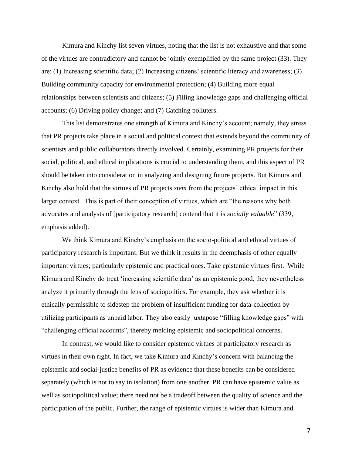Kimura and Kinchy list seven virtues, noting that the list is not exhaustive and that some of the virtues are contradictory and cannot be jointly exemplified by the same project (33). They are: (1) Increasing scientific data; (2) Increasing citizens' scientific literacy and awareness; (3) Building community capacity for environmental protection; (4) Building more equal relationships between scientists and citizens; (5) Filling knowledge gaps and challenging official accounts; (6) Driving policy change; and (7) Catching polluters.

This list demonstrates one strength of Kimura and Kinchy's account; namely, they stress that PR projects take place in a social and political context that extends beyond the community of scientists and public collaborators directly involved. Certainly, examining PR projects for their social, political, and ethical implications is crucial to understanding them, and this aspect of PR should be taken into consideration in analyzing and designing future projects. But Kimura and Kinchy also hold that the virtues of PR projects *stem* from the projects' ethical impact in this larger context. This is part of their conception of virtues, which are "the reasons why both advocates and analysts of [participatory research] contend that it is *socially valuable*" (339, emphasis added).

We think Kimura and Kinchy's emphasis on the socio-political and ethical virtues of participatory research is important. But we think it results in the deemphasis of other equally important virtues; particularly epistemic and practical ones. Take epistemic virtues first. While Kimura and Kinchy do treat 'increasing scientific data' as an epistemic good, they nevertheless analyze it primarily through the lens of sociopolitics. For example, they ask whether it is ethically permissible to sidestep the problem of insufficient funding for data-collection by utilizing participants as unpaid labor. They also easily juxtapose "filling knowledge gaps" with "challenging official accounts", thereby melding epistemic and sociopolitical concerns.

In contrast, we would like to consider epistemic virtues of participatory research as virtues in their own right. In fact, we take Kimura and Kinchy's concern with balancing the epistemic and social-justice benefits of PR as evidence that these benefits can be considered separately (which is not to say in isolation) from one another. PR can have epistemic value as well as sociopolitical value; there need not be a tradeoff between the quality of science and the participation of the public. Further, the range of epistemic virtues is wider than Kimura and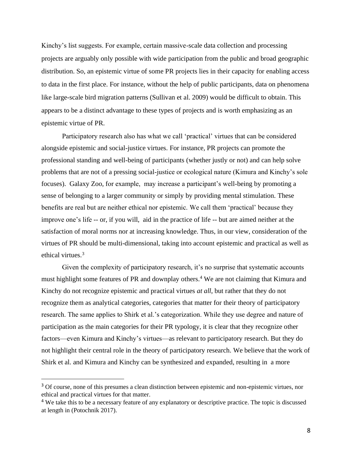Kinchy's list suggests. For example, certain massive-scale data collection and processing projects are arguably only possible with wide participation from the public and broad geographic distribution. So, an epistemic virtue of some PR projects lies in their capacity for enabling access to data in the first place. For instance, without the help of public participants, data on phenomena like large-scale bird migration patterns (Sullivan et al. 2009) would be difficult to obtain. This appears to be a distinct advantage to these types of projects and is worth emphasizing as an epistemic virtue of PR.

Participatory research also has what we call 'practical' virtues that can be considered alongside epistemic and social-justice virtues. For instance, PR projects can promote the professional standing and well-being of participants (whether justly or not) and can help solve problems that are not of a pressing social-justice or ecological nature (Kimura and Kinchy's sole focuses). Galaxy Zoo, for example, may increase a participant's well-being by promoting a sense of belonging to a larger community or simply by providing mental stimulation. These benefits are real but are neither ethical nor epistemic. We call them 'practical' because they improve one's life -- or, if you will, aid in the practice of life -- but are aimed neither at the satisfaction of moral norms nor at increasing knowledge. Thus, in our view, consideration of the virtues of PR should be multi-dimensional, taking into account epistemic and practical as well as ethical virtues.<sup>3</sup>

Given the complexity of participatory research, it's no surprise that systematic accounts must highlight some features of PR and downplay others.<sup>4</sup> We are not claiming that Kimura and Kinchy do not recognize epistemic and practical virtues *at all*, but rather that they do not recognize them as analytical categories, categories that matter for their theory of participatory research. The same applies to Shirk et al.'s categorization. While they use degree and nature of participation as the main categories for their PR typology, it is clear that they recognize other factors—even Kimura and Kinchy's virtues—as relevant to participatory research. But they do not highlight their central role in the theory of participatory research. We believe that the work of Shirk et al. and Kimura and Kinchy can be synthesized and expanded, resulting in a more

<sup>&</sup>lt;sup>3</sup> Of course, none of this presumes a clean distinction between epistemic and non-epistemic virtues, nor ethical and practical virtues for that matter.

<sup>&</sup>lt;sup>4</sup> We take this to be a necessary feature of any explanatory or descriptive practice. The topic is discussed at length in (Potochnik 2017).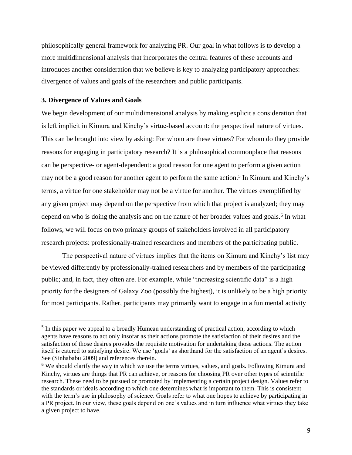philosophically general framework for analyzing PR. Our goal in what follows is to develop a more multidimensional analysis that incorporates the central features of these accounts and introduces another consideration that we believe is key to analyzing participatory approaches: divergence of values and goals of the researchers and public participants.

#### **3. Divergence of Values and Goals**

We begin development of our multidimensional analysis by making explicit a consideration that is left implicit in Kimura and Kinchy's virtue-based account: the perspectival nature of virtues. This can be brought into view by asking: For whom are these virtues? For whom do they provide reasons for engaging in participatory research? It is a philosophical commonplace that reasons can be perspective- or agent-dependent: a good reason for one agent to perform a given action may not be a good reason for another agent to perform the same action.<sup>5</sup> In Kimura and Kinchy's terms, a virtue for one stakeholder may not be a virtue for another. The virtues exemplified by any given project may depend on the perspective from which that project is analyzed; they may depend on who is doing the analysis and on the nature of her broader values and goals.<sup>6</sup> In what follows, we will focus on two primary groups of stakeholders involved in all participatory research projects: professionally-trained researchers and members of the participating public.

The perspectival nature of virtues implies that the items on Kimura and Kinchy's list may be viewed differently by professionally-trained researchers and by members of the participating public; and, in fact, they often are. For example, while "increasing scientific data" is a high priority for the designers of Galaxy Zoo (possibly the highest), it is unlikely to be a high priority for most participants. Rather, participants may primarily want to engage in a fun mental activity

<sup>&</sup>lt;sup>5</sup> In this paper we appeal to a broadly Humean understanding of practical action, according to which agents have reasons to act only insofar as their actions promote the satisfaction of their desires and the satisfaction of those desires provides the requisite motivation for undertaking those actions. The action itself is catered to satisfying desire. We use 'goals' as shorthand for the satisfaction of an agent's desires. See (Sinhababu 2009) and references therein.

<sup>&</sup>lt;sup>6</sup> We should clarify the way in which we use the terms virtues, values, and goals. Following Kimura and Kinchy, virtues are things that PR can achieve, or reasons for choosing PR over other types of scientific research. These need to be pursued or promoted by implementing a certain project design. Values refer to the standards or ideals according to which one determines what is important to them. This is consistent with the term's use in philosophy of science. Goals refer to what one hopes to achieve by participating in a PR project. In our view, these goals depend on one's values and in turn influence what virtues they take a given project to have.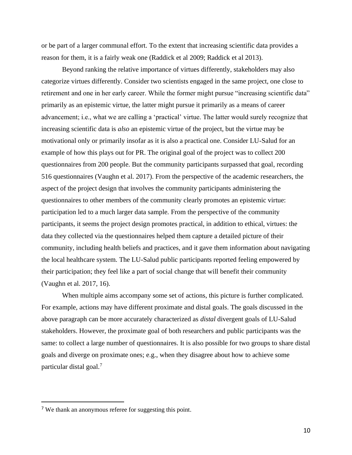or be part of a larger communal effort. To the extent that increasing scientific data provides a reason for them, it is a fairly weak one (Raddick et al 2009; Raddick et al 2013).

Beyond ranking the relative importance of virtues differently, stakeholders may also categorize virtues differently. Consider two scientists engaged in the same project, one close to retirement and one in her early career. While the former might pursue "increasing scientific data" primarily as an epistemic virtue, the latter might pursue it primarily as a means of career advancement; i.e., what we are calling a 'practical' virtue. The latter would surely recognize that increasing scientific data is *also* an epistemic virtue of the project, but the virtue may be motivational only or primarily insofar as it is also a practical one. Consider LU-Salud for an example of how this plays out for PR. The original goal of the project was to collect 200 questionnaires from 200 people. But the community participants surpassed that goal, recording 516 questionnaires (Vaughn et al. 2017). From the perspective of the academic researchers, the aspect of the project design that involves the community participants administering the questionnaires to other members of the community clearly promotes an epistemic virtue: participation led to a much larger data sample. From the perspective of the community participants, it seems the project design promotes practical, in addition to ethical, virtues: the data they collected via the questionnaires helped them capture a detailed picture of their community, including health beliefs and practices, and it gave them information about navigating the local healthcare system. The LU-Salud public participants reported feeling empowered by their participation; they feel like a part of social change that will benefit their community (Vaughn et al. 2017, 16).

When multiple aims accompany some set of actions, this picture is further complicated. For example, actions may have different proximate and distal goals. The goals discussed in the above paragraph can be more accurately characterized as *distal* divergent goals of LU-Salud stakeholders. However, the proximate goal of both researchers and public participants was the same: to collect a large number of questionnaires. It is also possible for two groups to share distal goals and diverge on proximate ones; e.g., when they disagree about how to achieve some particular distal goal.<sup>7</sup>

<sup>7</sup> We thank an anonymous referee for suggesting this point.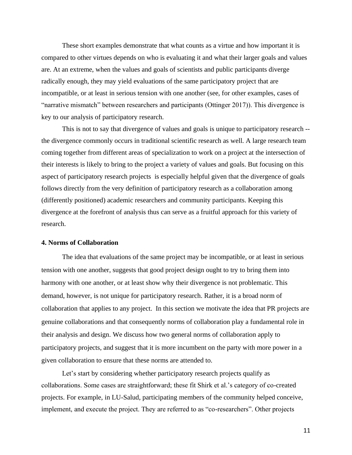These short examples demonstrate that what counts as a virtue and how important it is compared to other virtues depends on who is evaluating it and what their larger goals and values are. At an extreme, when the values and goals of scientists and public participants diverge radically enough, they may yield evaluations of the same participatory project that are incompatible, or at least in serious tension with one another (see, for other examples, cases of "narrative mismatch" between researchers and participants (Ottinger 2017)). This divergence is key to our analysis of participatory research.

This is not to say that divergence of values and goals is unique to participatory research - the divergence commonly occurs in traditional scientific research as well. A large research team coming together from different areas of specialization to work on a project at the intersection of their interests is likely to bring to the project a variety of values and goals. But focusing on this aspect of participatory research projects is especially helpful given that the divergence of goals follows directly from the very definition of participatory research as a collaboration among (differently positioned) academic researchers and community participants. Keeping this divergence at the forefront of analysis thus can serve as a fruitful approach for this variety of research.

#### **4. Norms of Collaboration**

The idea that evaluations of the same project may be incompatible, or at least in serious tension with one another, suggests that good project design ought to try to bring them into harmony with one another, or at least show why their divergence is not problematic. This demand, however, is not unique for participatory research. Rather, it is a broad norm of collaboration that applies to any project. In this section we motivate the idea that PR projects are genuine collaborations and that consequently norms of collaboration play a fundamental role in their analysis and design. We discuss how two general norms of collaboration apply to participatory projects, and suggest that it is more incumbent on the party with more power in a given collaboration to ensure that these norms are attended to.

Let's start by considering whether participatory research projects qualify as collaborations. Some cases are straightforward; these fit Shirk et al.'s category of co-created projects. For example, in LU-Salud, participating members of the community helped conceive, implement, and execute the project. They are referred to as "co-researchers". Other projects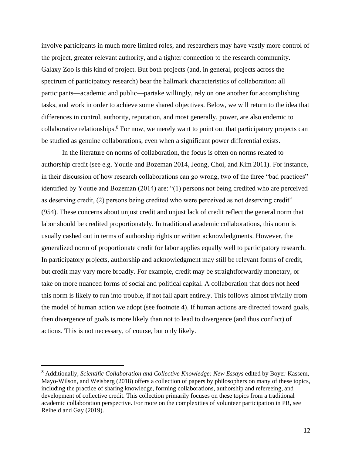involve participants in much more limited roles, and researchers may have vastly more control of the project, greater relevant authority, and a tighter connection to the research community. Galaxy Zoo is this kind of project. But both projects (and, in general, projects across the spectrum of participatory research) bear the hallmark characteristics of collaboration: all participants—academic and public—partake willingly, rely on one another for accomplishing tasks, and work in order to achieve some shared objectives. Below, we will return to the idea that differences in control, authority, reputation, and most generally, power, are also endemic to collaborative relationships.<sup>8</sup> For now, we merely want to point out that participatory projects can be studied as genuine collaborations, even when a significant power differential exists.

In the literature on norms of collaboration, the focus is often on norms related to authorship credit (see e.g. Youtie and Bozeman 2014, Jeong, Choi, and Kim 2011). For instance, in their discussion of how research collaborations can go wrong, two of the three "bad practices" identified by Youtie and Bozeman (2014) are: "(1) persons not being credited who are perceived as deserving credit, (2) persons being credited who were perceived as not deserving credit" (954). These concerns about unjust credit and unjust lack of credit reflect the general norm that labor should be credited proportionately. In traditional academic collaborations, this norm is usually cashed out in terms of authorship rights or written acknowledgments. However, the generalized norm of proportionate credit for labor applies equally well to participatory research. In participatory projects, authorship and acknowledgment may still be relevant forms of credit, but credit may vary more broadly. For example, credit may be straightforwardly monetary, or take on more nuanced forms of social and political capital. A collaboration that does not heed this norm is likely to run into trouble, if not fall apart entirely. This follows almost trivially from the model of human action we adopt (see footnote 4). If human actions are directed toward goals, then divergence of goals is more likely than not to lead to divergence (and thus conflict) of actions. This is not necessary, of course, but only likely.

<sup>8</sup> Additionally, *Scientific Collaboration and Collective Knowledge: New Essays* edited by Boyer-Kassem, Mayo-Wilson, and Weisberg (2018) offers a collection of papers by philosophers on many of these topics, including the practice of sharing knowledge, forming collaborations, authorship and refereeing, and development of collective credit. This collection primarily focuses on these topics from a traditional academic collaboration perspective. For more on the complexities of volunteer participation in PR, see Reiheld and Gay (2019).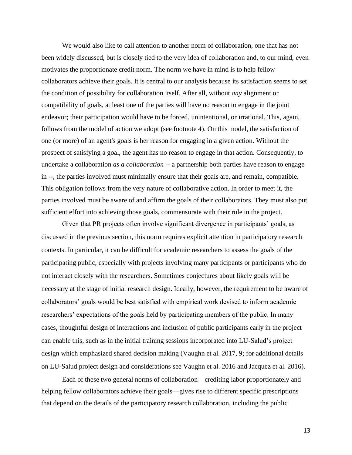We would also like to call attention to another norm of collaboration, one that has not been widely discussed, but is closely tied to the very idea of collaboration and, to our mind, even motivates the proportionate credit norm. The norm we have in mind is to help fellow collaborators achieve their goals. It is central to our analysis because its satisfaction seems to set the condition of possibility for collaboration itself. After all, without *any* alignment or compatibility of goals, at least one of the parties will have no reason to engage in the joint endeavor; their participation would have to be forced, unintentional, or irrational. This, again, follows from the model of action we adopt (see footnote 4). On this model, the satisfaction of one (or more) of an agent's goals is her reason for engaging in a given action. Without the prospect of satisfying a goal, the agent has no reason to engage in that action. Consequently, to undertake a collaboration *as a collaboration* -- a partnership both parties have reason to engage in --, the parties involved must minimally ensure that their goals are, and remain, compatible. This obligation follows from the very nature of collaborative action. In order to meet it, the parties involved must be aware of and affirm the goals of their collaborators. They must also put sufficient effort into achieving those goals, commensurate with their role in the project.

Given that PR projects often involve significant divergence in participants' goals, as discussed in the previous section, this norm requires explicit attention in participatory research contexts. In particular, it can be difficult for academic researchers to assess the goals of the participating public, especially with projects involving many participants or participants who do not interact closely with the researchers. Sometimes conjectures about likely goals will be necessary at the stage of initial research design. Ideally, however, the requirement to be aware of collaborators' goals would be best satisfied with empirical work devised to inform academic researchers' expectations of the goals held by participating members of the public. In many cases, thoughtful design of interactions and inclusion of public participants early in the project can enable this, such as in the initial training sessions incorporated into LU-Salud's project design which emphasized shared decision making (Vaughn et al. 2017, 9; for additional details on LU-Salud project design and considerations see Vaughn et al. 2016 and Jacquez et al. 2016).

Each of these two general norms of collaboration—crediting labor proportionately and helping fellow collaborators achieve their goals—gives rise to different specific prescriptions that depend on the details of the participatory research collaboration, including the public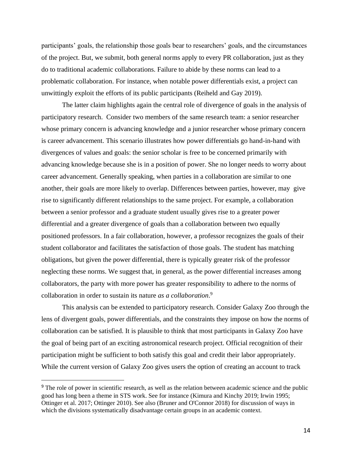participants' goals, the relationship those goals bear to researchers' goals, and the circumstances of the project. But, we submit, both general norms apply to every PR collaboration, just as they do to traditional academic collaborations. Failure to abide by these norms can lead to a problematic collaboration. For instance, when notable power differentials exist, a project can unwittingly exploit the efforts of its public participants (Reiheld and Gay 2019).

The latter claim highlights again the central role of divergence of goals in the analysis of participatory research. Consider two members of the same research team: a senior researcher whose primary concern is advancing knowledge and a junior researcher whose primary concern is career advancement. This scenario illustrates how power differentials go hand-in-hand with divergences of values and goals: the senior scholar is free to be concerned primarily with advancing knowledge because she is in a position of power. She no longer needs to worry about career advancement. Generally speaking, when parties in a collaboration are similar to one another, their goals are more likely to overlap. Differences between parties, however, may give rise to significantly different relationships to the same project. For example, a collaboration between a senior professor and a graduate student usually gives rise to a greater power differential and a greater divergence of goals than a collaboration between two equally positioned professors. In a fair collaboration, however, a professor recognizes the goals of their student collaborator and facilitates the satisfaction of those goals. The student has matching obligations, but given the power differential, there is typically greater risk of the professor neglecting these norms. We suggest that, in general, as the power differential increases among collaborators, the party with more power has greater responsibility to adhere to the norms of collaboration in order to sustain its nature *as a collaboration*. 9

This analysis can be extended to participatory research. Consider Galaxy Zoo through the lens of divergent goals, power differentials, and the constraints they impose on how the norms of collaboration can be satisfied. It is plausible to think that most participants in Galaxy Zoo have the goal of being part of an exciting astronomical research project. Official recognition of their participation might be sufficient to both satisfy this goal and credit their labor appropriately. While the current version of Galaxy Zoo gives users the option of creating an account to track

<sup>&</sup>lt;sup>9</sup> The role of power in scientific research, as well as the relation between academic science and the public good has long been a theme in STS work. See for instance (Kimura and Kinchy 2019; Irwin 1995; Ottinger et al. 2017; Ottinger 2010). See also (Bruner and O'Connor 2018) for discussion of ways in which the divisions systematically disadvantage certain groups in an academic context.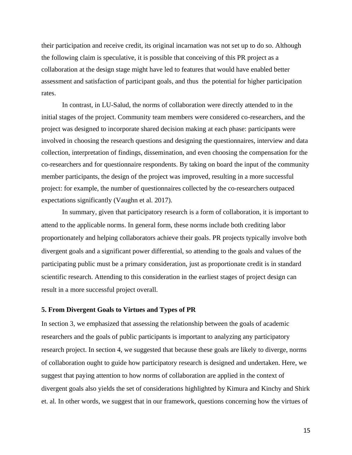their participation and receive credit, its original incarnation was not set up to do so. Although the following claim is speculative, it is possible that conceiving of this PR project as a collaboration at the design stage might have led to features that would have enabled better assessment and satisfaction of participant goals, and thus the potential for higher participation rates.

In contrast, in LU-Salud, the norms of collaboration were directly attended to in the initial stages of the project. Community team members were considered co-researchers, and the project was designed to incorporate shared decision making at each phase: participants were involved in choosing the research questions and designing the questionnaires, interview and data collection, interpretation of findings, dissemination, and even choosing the compensation for the co-researchers and for questionnaire respondents. By taking on board the input of the community member participants, the design of the project was improved, resulting in a more successful project: for example, the number of questionnaires collected by the co-researchers outpaced expectations significantly (Vaughn et al. 2017).

In summary, given that participatory research is a form of collaboration, it is important to attend to the applicable norms. In general form, these norms include both crediting labor proportionately and helping collaborators achieve their goals. PR projects typically involve both divergent goals and a significant power differential, so attending to the goals and values of the participating public must be a primary consideration, just as proportionate credit is in standard scientific research. Attending to this consideration in the earliest stages of project design can result in a more successful project overall.

### **5. From Divergent Goals to Virtues and Types of PR**

In section 3, we emphasized that assessing the relationship between the goals of academic researchers and the goals of public participants is important to analyzing any participatory research project. In section 4, we suggested that because these goals are likely to diverge, norms of collaboration ought to guide how participatory research is designed and undertaken. Here, we suggest that paying attention to how norms of collaboration are applied in the context of divergent goals also yields the set of considerations highlighted by Kimura and Kinchy and Shirk et. al. In other words, we suggest that in our framework, questions concerning how the virtues of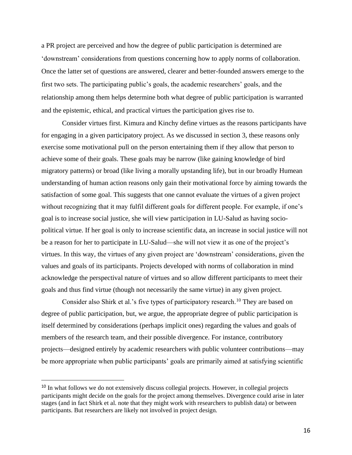a PR project are perceived and how the degree of public participation is determined are 'downstream' considerations from questions concerning how to apply norms of collaboration. Once the latter set of questions are answered, clearer and better-founded answers emerge to the first two sets. The participating public's goals, the academic researchers' goals, and the relationship among them helps determine both what degree of public participation is warranted and the epistemic, ethical, and practical virtues the participation gives rise to.

Consider virtues first. Kimura and Kinchy define virtues as the reasons participants have for engaging in a given participatory project. As we discussed in section 3, these reasons only exercise some motivational pull on the person entertaining them if they allow that person to achieve some of their goals. These goals may be narrow (like gaining knowledge of bird migratory patterns) or broad (like living a morally upstanding life), but in our broadly Humean understanding of human action reasons only gain their motivational force by aiming towards the satisfaction of some goal. This suggests that one cannot evaluate the virtues of a given project without recognizing that it may fulfil different goals for different people. For example, if one's goal is to increase social justice, she will view participation in LU-Salud as having sociopolitical virtue. If her goal is only to increase scientific data, an increase in social justice will not be a reason for her to participate in LU-Salud—she will not view it as one of the project's virtues. In this way, the virtues of any given project are 'downstream' considerations, given the values and goals of its participants. Projects developed with norms of collaboration in mind acknowledge the perspectival nature of virtues and so allow different participants to meet their goals and thus find virtue (though not necessarily the same virtue) in any given project.

Consider also Shirk et al.'s five types of participatory research.<sup>10</sup> They are based on degree of public participation, but, we argue, the appropriate degree of public participation is itself determined by considerations (perhaps implicit ones) regarding the values and goals of members of the research team, and their possible divergence. For instance, contributory projects—designed entirely by academic researchers with public volunteer contributions—may be more appropriate when public participants' goals are primarily aimed at satisfying scientific

<sup>&</sup>lt;sup>10</sup> In what follows we do not extensively discuss collegial projects. However, in collegial projects participants might decide on the goals for the project among themselves. Divergence could arise in later stages (and in fact Shirk et al. note that they might work with researchers to publish data) or between participants. But researchers are likely not involved in project design.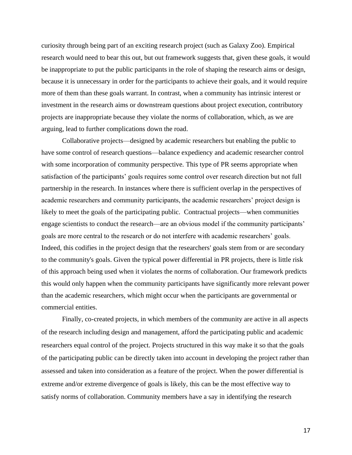curiosity through being part of an exciting research project (such as Galaxy Zoo). Empirical research would need to bear this out, but out framework suggests that, given these goals, it would be inappropriate to put the public participants in the role of shaping the research aims or design, because it is unnecessary in order for the participants to achieve their goals, and it would require more of them than these goals warrant. In contrast, when a community has intrinsic interest or investment in the research aims or downstream questions about project execution, contributory projects are inappropriate because they violate the norms of collaboration, which, as we are arguing, lead to further complications down the road.

Collaborative projects—designed by academic researchers but enabling the public to have some control of research questions—balance expediency and academic researcher control with some incorporation of community perspective. This type of PR seems appropriate when satisfaction of the participants' goals requires some control over research direction but not full partnership in the research. In instances where there is sufficient overlap in the perspectives of academic researchers and community participants, the academic researchers' project design is likely to meet the goals of the participating public. Contractual projects—when communities engage scientists to conduct the research—are an obvious model if the community participants' goals are more central to the research or do not interfere with academic researchers' goals. Indeed, this codifies in the project design that the researchers' goals stem from or are secondary to the community's goals. Given the typical power differential in PR projects, there is little risk of this approach being used when it violates the norms of collaboration. Our framework predicts this would only happen when the community participants have significantly more relevant power than the academic researchers, which might occur when the participants are governmental or commercial entities.

Finally, co-created projects, in which members of the community are active in all aspects of the research including design and management, afford the participating public and academic researchers equal control of the project. Projects structured in this way make it so that the goals of the participating public can be directly taken into account in developing the project rather than assessed and taken into consideration as a feature of the project. When the power differential is extreme and/or extreme divergence of goals is likely, this can be the most effective way to satisfy norms of collaboration. Community members have a say in identifying the research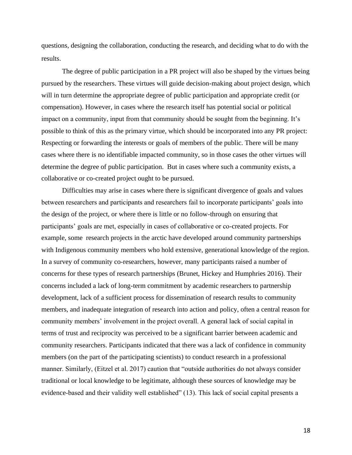questions, designing the collaboration, conducting the research, and deciding what to do with the results.

The degree of public participation in a PR project will also be shaped by the virtues being pursued by the researchers. These virtues will guide decision-making about project design, which will in turn determine the appropriate degree of public participation and appropriate credit (or compensation). However, in cases where the research itself has potential social or political impact on a community, input from that community should be sought from the beginning. It's possible to think of this as the primary virtue, which should be incorporated into any PR project: Respecting or forwarding the interests or goals of members of the public. There will be many cases where there is no identifiable impacted community, so in those cases the other virtues will determine the degree of public participation. But in cases where such a community exists, a collaborative or co-created project ought to be pursued.

Difficulties may arise in cases where there is significant divergence of goals and values between researchers and participants and researchers fail to incorporate participants' goals into the design of the project, or where there is little or no follow-through on ensuring that participants' goals are met, especially in cases of collaborative or co-created projects. For example, some research projects in the arctic have developed around community partnerships with Indigenous community members who hold extensive, generational knowledge of the region. In a survey of community co-researchers, however, many participants raised a number of concerns for these types of research partnerships (Brunet, Hickey and Humphries 2016). Their concerns included a lack of long-term commitment by academic researchers to partnership development, lack of a sufficient process for dissemination of research results to community members, and inadequate integration of research into action and policy, often a central reason for community members' involvement in the project overall. A general lack of social capital in terms of trust and reciprocity was perceived to be a significant barrier between academic and community researchers. Participants indicated that there was a lack of confidence in community members (on the part of the participating scientists) to conduct research in a professional manner. Similarly, (Eitzel et al. 2017) caution that "outside authorities do not always consider traditional or local knowledge to be legitimate, although these sources of knowledge may be evidence-based and their validity well established" (13). This lack of social capital presents a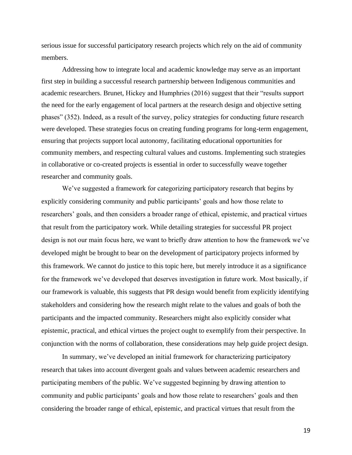serious issue for successful participatory research projects which rely on the aid of community members.

Addressing how to integrate local and academic knowledge may serve as an important first step in building a successful research partnership between Indigenous communities and academic researchers. Brunet, Hickey and Humphries (2016) suggest that their "results support the need for the early engagement of local partners at the research design and objective setting phases" (352). Indeed, as a result of the survey, policy strategies for conducting future research were developed. These strategies focus on creating funding programs for long-term engagement, ensuring that projects support local autonomy, facilitating educational opportunities for community members, and respecting cultural values and customs. Implementing such strategies in collaborative or co-created projects is essential in order to successfully weave together researcher and community goals.

We've suggested a framework for categorizing participatory research that begins by explicitly considering community and public participants' goals and how those relate to researchers' goals, and then considers a broader range of ethical, epistemic, and practical virtues that result from the participatory work. While detailing strategies for successful PR project design is not our main focus here, we want to briefly draw attention to how the framework we've developed might be brought to bear on the development of participatory projects informed by this framework. We cannot do justice to this topic here, but merely introduce it as a significance for the framework we've developed that deserves investigation in future work. Most basically, if our framework is valuable, this suggests that PR design would benefit from explicitly identifying stakeholders and considering how the research might relate to the values and goals of both the participants and the impacted community. Researchers might also explicitly consider what epistemic, practical, and ethical virtues the project ought to exemplify from their perspective. In conjunction with the norms of collaboration, these considerations may help guide project design.

In summary, we've developed an initial framework for characterizing participatory research that takes into account divergent goals and values between academic researchers and participating members of the public. We've suggested beginning by drawing attention to community and public participants' goals and how those relate to researchers' goals and then considering the broader range of ethical, epistemic, and practical virtues that result from the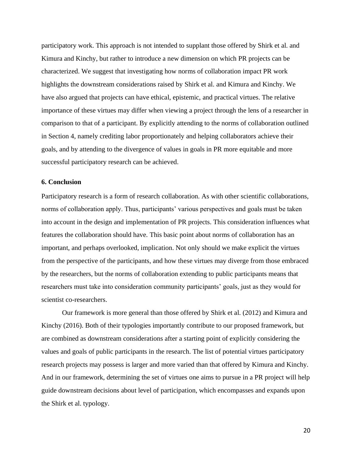participatory work. This approach is not intended to supplant those offered by Shirk et al. and Kimura and Kinchy, but rather to introduce a new dimension on which PR projects can be characterized. We suggest that investigating how norms of collaboration impact PR work highlights the downstream considerations raised by Shirk et al. and Kimura and Kinchy. We have also argued that projects can have ethical, epistemic, and practical virtues. The relative importance of these virtues may differ when viewing a project through the lens of a researcher in comparison to that of a participant. By explicitly attending to the norms of collaboration outlined in Section 4, namely crediting labor proportionately and helping collaborators achieve their goals, and by attending to the divergence of values in goals in PR more equitable and more successful participatory research can be achieved.

#### **6. Conclusion**

Participatory research is a form of research collaboration. As with other scientific collaborations, norms of collaboration apply. Thus, participants' various perspectives and goals must be taken into account in the design and implementation of PR projects. This consideration influences what features the collaboration should have. This basic point about norms of collaboration has an important, and perhaps overlooked, implication. Not only should we make explicit the virtues from the perspective of the participants, and how these virtues may diverge from those embraced by the researchers, but the norms of collaboration extending to public participants means that researchers must take into consideration community participants' goals, just as they would for scientist co-researchers.

Our framework is more general than those offered by Shirk et al. (2012) and Kimura and Kinchy (2016). Both of their typologies importantly contribute to our proposed framework, but are combined as downstream considerations after a starting point of explicitly considering the values and goals of public participants in the research. The list of potential virtues participatory research projects may possess is larger and more varied than that offered by Kimura and Kinchy. And in our framework, determining the set of virtues one aims to pursue in a PR project will help guide downstream decisions about level of participation, which encompasses and expands upon the Shirk et al. typology.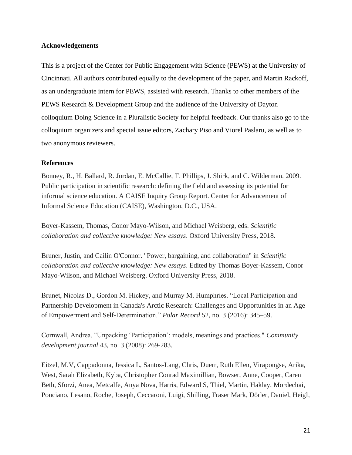# **Acknowledgements**

This is a project of the Center for Public Engagement with Science (PEWS) at the University of Cincinnati. All authors contributed equally to the development of the paper, and Martin Rackoff, as an undergraduate intern for PEWS, assisted with research. Thanks to other members of the PEWS Research & Development Group and the audience of the University of Dayton colloquium Doing Science in a Pluralistic Society for helpful feedback. Our thanks also go to the colloquium organizers and special issue editors, Zachary Piso and Viorel Paslaru, as well as to two anonymous reviewers.

### **References**

Bonney, R., H. Ballard, R. Jordan, E. McCallie, T. Phillips, J. Shirk, and C. Wilderman. 2009. Public participation in scientific research: defining the field and assessing its potential for informal science education. A CAISE Inquiry Group Report. Center for Advancement of Informal Science Education (CAISE), Washington, D.C., USA.

Boyer-Kassem, Thomas, Conor Mayo-Wilson, and Michael Weisberg, eds. *Scientific collaboration and collective knowledge: New essays*. Oxford University Press, 2018.

Bruner, Justin, and Cailin O'Connor. "Power, bargaining, and collaboration" in *Scientific collaboration and collective knowledge: New essays*. Edited by Thomas Boyer-Kassem, Conor Mayo-Wilson, and Michael Weisberg. Oxford University Press, 2018.

Brunet, Nicolas D., Gordon M. Hickey, and Murray M. Humphries. "Local Participation and Partnership Development in Canada's Arctic Research: Challenges and Opportunities in an Age of Empowerment and Self-Determination." *Polar Record* 52, no. 3 (2016): 345–59.

Cornwall, Andrea. "Unpacking 'Participation': models, meanings and practices." *Community development journal* 43, no. 3 (2008): 269-283.

Eitzel, M.V, Cappadonna, Jessica L, Santos-Lang, Chris, Duerr, Ruth Ellen, Virapongse, Arika, West, Sarah Elizabeth, Kyba, Christopher Conrad Maximillian, Bowser, Anne, Cooper, Caren Beth, Sforzi, Anea, Metcalfe, Anya Nova, Harris, Edward S, Thiel, Martin, Haklay, Mordechai, Ponciano, Lesano, Roche, Joseph, Ceccaroni, Luigi, Shilling, Fraser Mark, Dörler, Daniel, Heigl,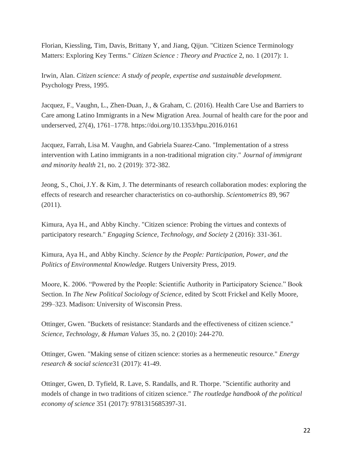Florian, Kiessling, Tim, Davis, Brittany Y, and Jiang, Qijun. "Citizen Science Terminology Matters: Exploring Key Terms." *Citizen Science : Theory and Practice* 2, no. 1 (2017): 1.

Irwin, Alan. *Citizen science: A study of people, expertise and sustainable development*. Psychology Press, 1995.

Jacquez, F., Vaughn, L., Zhen-Duan, J., & Graham, C. (2016). Health Care Use and Barriers to Care among Latino Immigrants in a New Migration Area. Journal of health care for the poor and underserved, 27(4), 1761–1778. https://doi.org/10.1353/hpu.2016.0161

Jacquez, Farrah, Lisa M. Vaughn, and Gabriela Suarez-Cano. "Implementation of a stress intervention with Latino immigrants in a non-traditional migration city." *Journal of immigrant and minority health* 21, no. 2 (2019): 372-382.

Jeong, S., Choi, J.Y. & Kim, J. The determinants of research collaboration modes: exploring the effects of research and researcher characteristics on co-authorship. *Scientometrics* 89, 967 (2011).

Kimura, Aya H., and Abby Kinchy. "Citizen science: Probing the virtues and contexts of participatory research." *Engaging Science, Technology, and Society* 2 (2016): 331-361.

Kimura, Aya H., and Abby Kinchy. *Science by the People: Participation, Power, and the Politics of Environmental Knowledge*. Rutgers University Press, 2019.

Moore, K. 2006. "Powered by the People: Scientific Authority in Participatory Science." Book Section. In *The New Political Sociology of Science*, edited by Scott Frickel and Kelly Moore, 299–323. Madison: University of Wisconsin Press.

Ottinger, Gwen. "Buckets of resistance: Standards and the effectiveness of citizen science." *Science, Technology, & Human Values* 35, no. 2 (2010): 244-270.

Ottinger, Gwen. "Making sense of citizen science: stories as a hermeneutic resource." *Energy research & social science*31 (2017): 41-49.

Ottinger, Gwen, D. Tyfield, R. Lave, S. Randalls, and R. Thorpe. "Scientific authority and models of change in two traditions of citizen science." *The routledge handbook of the political economy of science* 351 (2017): 9781315685397-31.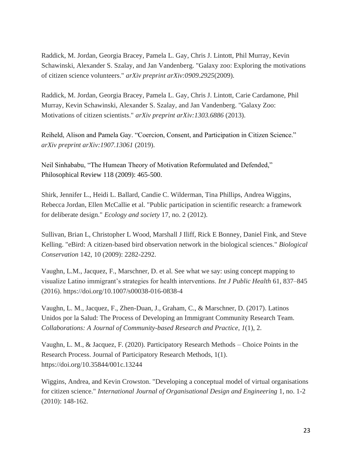Raddick, M. Jordan, Georgia Bracey, Pamela L. Gay, Chris J. Lintott, Phil Murray, Kevin Schawinski, Alexander S. Szalay, and Jan Vandenberg. "Galaxy zoo: Exploring the motivations of citizen science volunteers." *arXiv preprint arXiv:0909.2925*(2009).

Raddick, M. Jordan, Georgia Bracey, Pamela L. Gay, Chris J. Lintott, Carie Cardamone, Phil Murray, Kevin Schawinski, Alexander S. Szalay, and Jan Vandenberg. "Galaxy Zoo: Motivations of citizen scientists." *arXiv preprint arXiv:1303.6886* (2013).

Reiheld, Alison and Pamela Gay. "Coercion, Consent, and Participation in Citizen Science." *arXiv preprint arXiv:1907.13061* (2019).

Neil Sinhababu, "The Humean Theory of Motivation Reformulated and Defended," Philosophical Review 118 (2009): 465-500.

Shirk, Jennifer L., Heidi L. Ballard, Candie C. Wilderman, Tina Phillips, Andrea Wiggins, Rebecca Jordan, Ellen McCallie et al. "Public participation in scientific research: a framework for deliberate design." *Ecology and society* 17, no. 2 (2012).

Sullivan, Brian L, Christopher L Wood, Marshall J Iliff, Rick E Bonney, Daniel Fink, and Steve Kelling. "eBird: A citizen-based bird observation network in the biological sciences." *Biological Conservation* 142, 10 (2009): 2282-2292.

Vaughn, L.M., Jacquez, F., Marschner, D. et al. See what we say: using concept mapping to visualize Latino immigrant's strategies for health interventions. *Int J Public Health* 61, 837–845 (2016). https://doi.org/10.1007/s00038-016-0838-4

Vaughn, L. M., Jacquez, F., Zhen-Duan, J., Graham, C., & Marschner, D. (2017). Latinos Unidos por la Salud: The Process of Developing an Immigrant Community Research Team. *Collaborations: A Journal of Community-based Research and Practice*, *1*(1), 2.

Vaughn, L. M., & Jacquez, F. (2020). Participatory Research Methods – Choice Points in the Research Process. Journal of Participatory Research Methods, 1(1). https://doi.org/10.35844/001c.13244

Wiggins, Andrea, and Kevin Crowston. "Developing a conceptual model of virtual organisations for citizen science." *International Journal of Organisational Design and Engineering* 1, no. 1-2 (2010): 148-162.